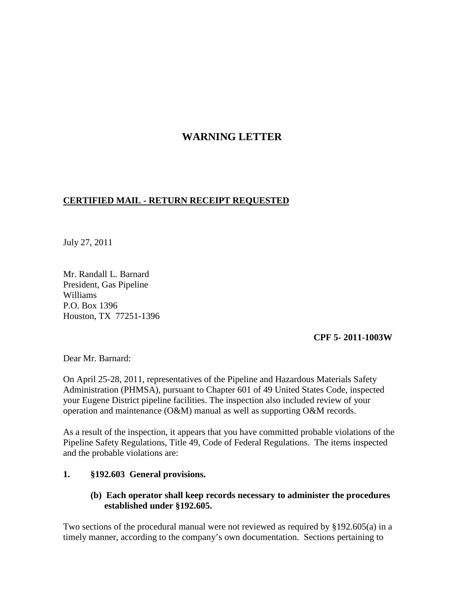# **WARNING LETTER**

## **CERTIFIED MAIL - RETURN RECEIPT REQUESTED**

July 27, 2011

Mr. Randall L. Barnard President, Gas Pipeline Williams P.O. Box 1396 Houston, TX 77251-1396

#### **CPF 5- 2011-1003W**

Dear Mr. Barnard:

On April 25-28, 2011, representatives of the Pipeline and Hazardous Materials Safety Administration (PHMSA), pursuant to Chapter 601 of 49 United States Code, inspected your Eugene District pipeline facilities. The inspection also included review of your operation and maintenance (O&M) manual as well as supporting O&M records.

As a result of the inspection, it appears that you have committed probable violations of the Pipeline Safety Regulations, Title 49, Code of Federal Regulations. The items inspected and the probable violations are:

### **1. §192.603 General provisions.**

### **(b) Each operator shall keep records necessary to administer the procedures established under §192.605.**

Two sections of the procedural manual were not reviewed as required by §192.605(a) in a timely manner, according to the company's own documentation. Sections pertaining to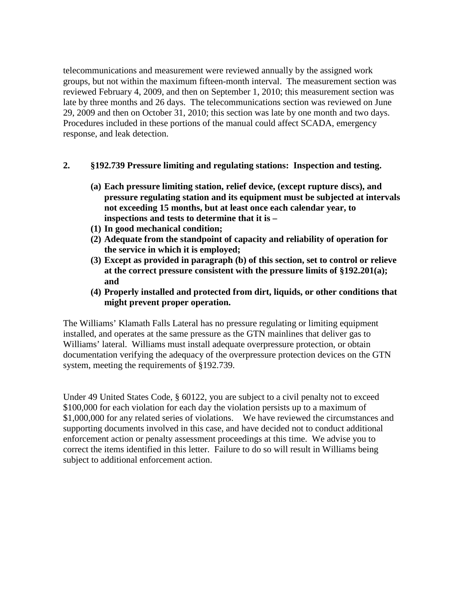telecommunications and measurement were reviewed annually by the assigned work groups, but not within the maximum fifteen-month interval. The measurement section was reviewed February 4, 2009, and then on September 1, 2010; this measurement section was late by three months and 26 days. The telecommunications section was reviewed on June 29, 2009 and then on October 31, 2010; this section was late by one month and two days. Procedures included in these portions of the manual could affect SCADA, emergency response, and leak detection.

### **2. §192.739 Pressure limiting and regulating stations: Inspection and testing.**

- **(a) Each pressure limiting station, relief device, (except rupture discs), and pressure regulating station and its equipment must be subjected at intervals not exceeding 15 months, but at least once each calendar year, to inspections and tests to determine that it is –**
- **(1) In good mechanical condition;**
- **(2) Adequate from the standpoint of capacity and reliability of operation for the service in which it is employed;**
- **(3) Except as provided in paragraph (b) of this section, set to control or relieve at the correct pressure consistent with the pressure limits of §192.201(a); and**
- **(4) Properly installed and protected from dirt, liquids, or other conditions that might prevent proper operation.**

The Williams' Klamath Falls Lateral has no pressure regulating or limiting equipment installed, and operates at the same pressure as the GTN mainlines that deliver gas to Williams' lateral. Williams must install adequate overpressure protection, or obtain documentation verifying the adequacy of the overpressure protection devices on the GTN system, meeting the requirements of §192.739.

Under 49 United States Code, § 60122, you are subject to a civil penalty not to exceed \$100,000 for each violation for each day the violation persists up to a maximum of \$1,000,000 for any related series of violations. We have reviewed the circumstances and supporting documents involved in this case, and have decided not to conduct additional enforcement action or penalty assessment proceedings at this time. We advise you to correct the items identified in this letter. Failure to do so will result in Williams being subject to additional enforcement action.